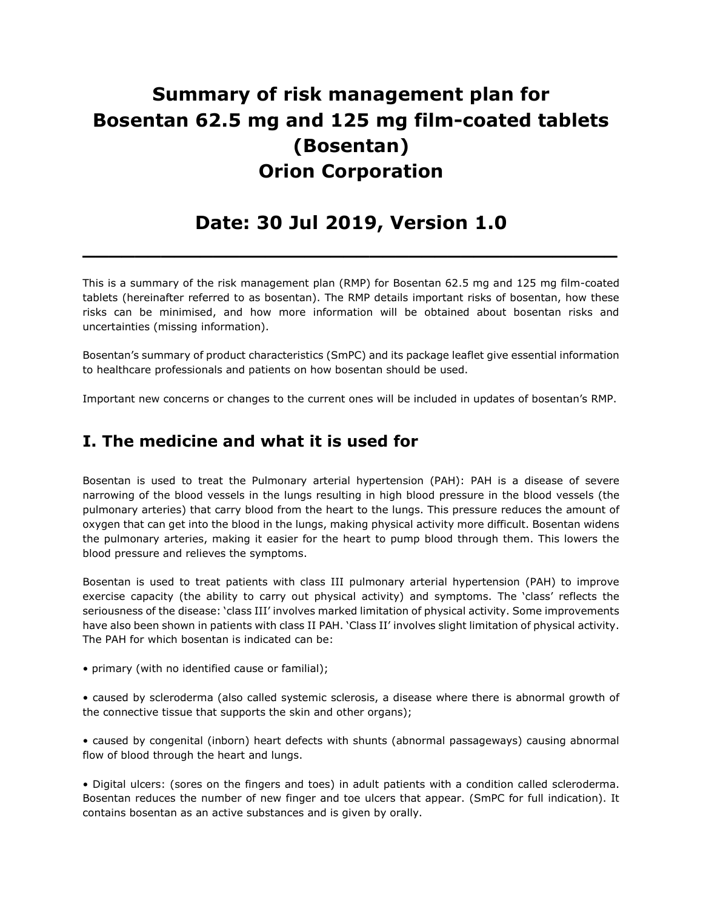# Summary of risk management plan for Bosentan 62.5 mg and 125 mg film-coated tablets (Bosentan) Orion Corporation

## Date: 30 Jul 2019, Version 1.0

 $\overline{\phantom{a}}$  , and the contract of the contract of the contract of the contract of the contract of the contract of the contract of the contract of the contract of the contract of the contract of the contract of the contrac

This is a summary of the risk management plan (RMP) for Bosentan 62.5 mg and 125 mg film-coated tablets (hereinafter referred to as bosentan). The RMP details important risks of bosentan, how these risks can be minimised, and how more information will be obtained about bosentan risks and uncertainties (missing information).

Bosentan's summary of product characteristics (SmPC) and its package leaflet give essential information to healthcare professionals and patients on how bosentan should be used.

Important new concerns or changes to the current ones will be included in updates of bosentan's RMP.

### I. The medicine and what it is used for

Bosentan is used to treat the Pulmonary arterial hypertension (PAH): PAH is a disease of severe narrowing of the blood vessels in the lungs resulting in high blood pressure in the blood vessels (the pulmonary arteries) that carry blood from the heart to the lungs. This pressure reduces the amount of oxygen that can get into the blood in the lungs, making physical activity more difficult. Bosentan widens the pulmonary arteries, making it easier for the heart to pump blood through them. This lowers the blood pressure and relieves the symptoms.

Bosentan is used to treat patients with class III pulmonary arterial hypertension (PAH) to improve exercise capacity (the ability to carry out physical activity) and symptoms. The 'class' reflects the seriousness of the disease: 'class III' involves marked limitation of physical activity. Some improvements have also been shown in patients with class II PAH. 'Class II' involves slight limitation of physical activity. The PAH for which bosentan is indicated can be:

• primary (with no identified cause or familial);

• caused by scleroderma (also called systemic sclerosis, a disease where there is abnormal growth of the connective tissue that supports the skin and other organs);

• caused by congenital (inborn) heart defects with shunts (abnormal passageways) causing abnormal flow of blood through the heart and lungs.

• Digital ulcers: (sores on the fingers and toes) in adult patients with a condition called scleroderma. Bosentan reduces the number of new finger and toe ulcers that appear. (SmPC for full indication). It contains bosentan as an active substances and is given by orally.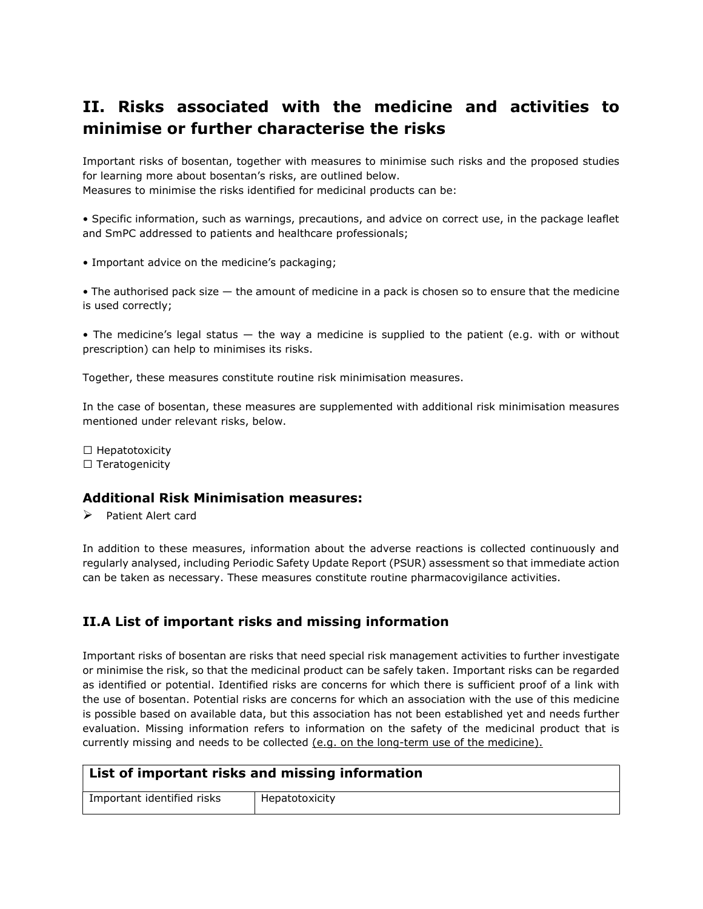### II. Risks associated with the medicine and activities to minimise or further characterise the risks

Important risks of bosentan, together with measures to minimise such risks and the proposed studies for learning more about bosentan's risks, are outlined below. Measures to minimise the risks identified for medicinal products can be:

• Specific information, such as warnings, precautions, and advice on correct use, in the package leaflet and SmPC addressed to patients and healthcare professionals;

• Important advice on the medicine's packaging;

• The authorised pack size — the amount of medicine in a pack is chosen so to ensure that the medicine is used correctly;

• The medicine's legal status — the way a medicine is supplied to the patient (e.g. with or without prescription) can help to minimises its risks.

Together, these measures constitute routine risk minimisation measures.

In the case of bosentan, these measures are supplemented with additional risk minimisation measures mentioned under relevant risks, below.

 $\Box$  Hepatotoxicity  $\Box$  Teratogenicity

#### Additional Risk Minimisation measures:

 $\triangleright$  Patient Alert card

In addition to these measures, information about the adverse reactions is collected continuously and regularly analysed, including Periodic Safety Update Report (PSUR) assessment so that immediate action can be taken as necessary. These measures constitute routine pharmacovigilance activities.

### II.A List of important risks and missing information

Important risks of bosentan are risks that need special risk management activities to further investigate or minimise the risk, so that the medicinal product can be safely taken. Important risks can be regarded as identified or potential. Identified risks are concerns for which there is sufficient proof of a link with the use of bosentan. Potential risks are concerns for which an association with the use of this medicine is possible based on available data, but this association has not been established yet and needs further evaluation. Missing information refers to information on the safety of the medicinal product that is currently missing and needs to be collected (e.g. on the long-term use of the medicine).

| List of important risks and missing information |                |  |
|-------------------------------------------------|----------------|--|
| Important identified risks                      | Hepatotoxicity |  |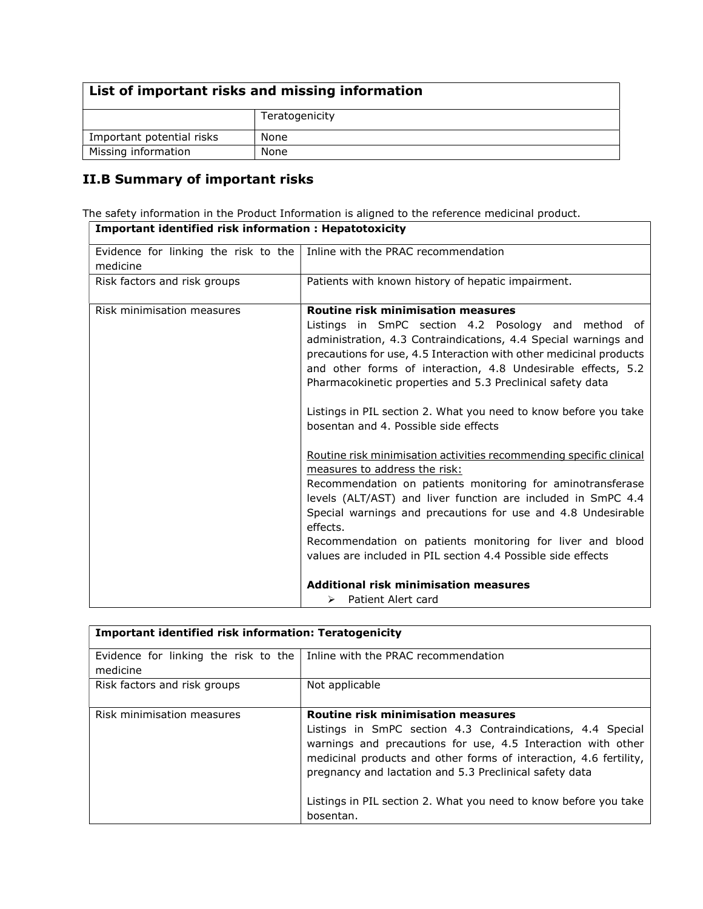### List of important risks and missing information

|                           | Teratogenicity |
|---------------------------|----------------|
| Important potential risks | None           |
| Missing information       | None           |

 $\overline{\phantom{a}}$ 

### II.B Summary of important risks

The safety information in the Product Information is aligned to the reference medicinal product. Important identified risk information : Hepatotoxicity

| Evidence for linking the risk to the<br>medicine | Inline with the PRAC recommendation                                                                                                                                                                                                                                                                                                                                                                                                                                                                                                                                                                                                                                                                                                                                                                                                                                                                                                                                                                     |
|--------------------------------------------------|---------------------------------------------------------------------------------------------------------------------------------------------------------------------------------------------------------------------------------------------------------------------------------------------------------------------------------------------------------------------------------------------------------------------------------------------------------------------------------------------------------------------------------------------------------------------------------------------------------------------------------------------------------------------------------------------------------------------------------------------------------------------------------------------------------------------------------------------------------------------------------------------------------------------------------------------------------------------------------------------------------|
| Risk factors and risk groups                     | Patients with known history of hepatic impairment.                                                                                                                                                                                                                                                                                                                                                                                                                                                                                                                                                                                                                                                                                                                                                                                                                                                                                                                                                      |
| Risk minimisation measures                       | <b>Routine risk minimisation measures</b><br>Listings in SmPC section 4.2 Posology and method of<br>administration, 4.3 Contraindications, 4.4 Special warnings and<br>precautions for use, 4.5 Interaction with other medicinal products<br>and other forms of interaction, 4.8 Undesirable effects, 5.2<br>Pharmacokinetic properties and 5.3 Preclinical safety data<br>Listings in PIL section 2. What you need to know before you take<br>bosentan and 4. Possible side effects<br>Routine risk minimisation activities recommending specific clinical<br>measures to address the risk:<br>Recommendation on patients monitoring for aminotransferase<br>levels (ALT/AST) and liver function are included in SmPC 4.4<br>Special warnings and precautions for use and 4.8 Undesirable<br>effects.<br>Recommendation on patients monitoring for liver and blood<br>values are included in PIL section 4.4 Possible side effects<br>Additional risk minimisation measures<br>Patient Alert card<br>➤ |

| <b>Important identified risk information: Teratogenicity</b> |                                                                                                                                                                                                                                                                                                                                                                              |  |
|--------------------------------------------------------------|------------------------------------------------------------------------------------------------------------------------------------------------------------------------------------------------------------------------------------------------------------------------------------------------------------------------------------------------------------------------------|--|
| Evidence for linking the risk to the<br>medicine             | l Inline with the PRAC recommendation                                                                                                                                                                                                                                                                                                                                        |  |
| Risk factors and risk groups                                 | Not applicable                                                                                                                                                                                                                                                                                                                                                               |  |
| Risk minimisation measures                                   | <b>Routine risk minimisation measures</b><br>Listings in SmPC section 4.3 Contraindications, 4.4 Special<br>warnings and precautions for use, 4.5 Interaction with other<br>medicinal products and other forms of interaction, 4.6 fertility,<br>pregnancy and lactation and 5.3 Preclinical safety data<br>Listings in PIL section 2. What you need to know before you take |  |
|                                                              | bosentan.                                                                                                                                                                                                                                                                                                                                                                    |  |